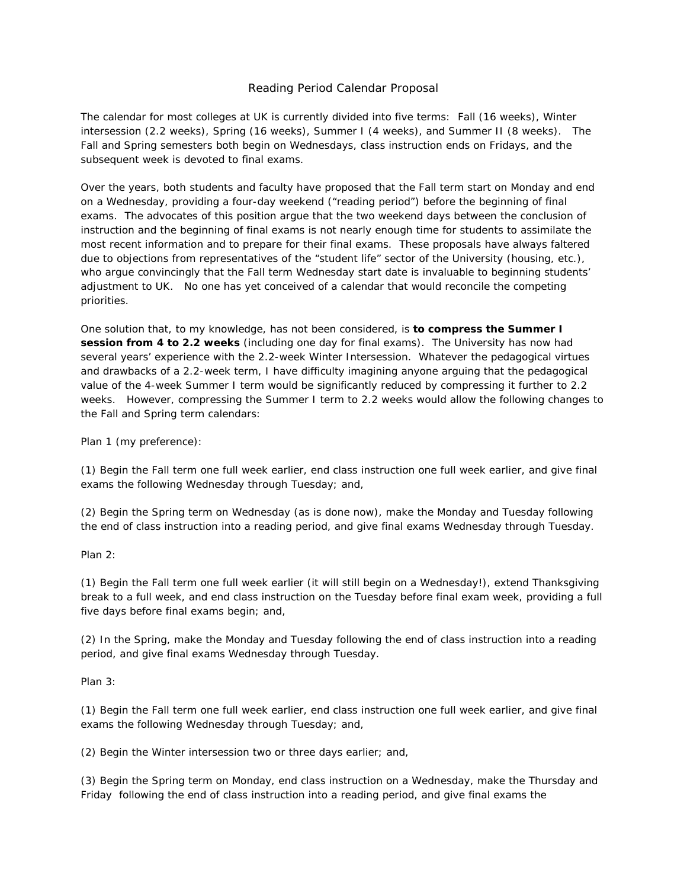## Reading Period Calendar Proposal

The calendar for most colleges at UK is currently divided into five terms: Fall (16 weeks), Winter intersession (2.2 weeks), Spring (16 weeks), Summer I (4 weeks), and Summer II (8 weeks). The Fall and Spring semesters both begin on Wednesdays, class instruction ends on Fridays, and the subsequent week is devoted to final exams.

Over the years, both students and faculty have proposed that the Fall term start on Monday and end on a Wednesday, providing a four-day weekend ("reading period") before the beginning of final exams. The advocates of this position argue that the two weekend days between the conclusion of instruction and the beginning of final exams is not nearly enough time for students to assimilate the most recent information and to prepare for their final exams. These proposals have always faltered due to objections from representatives of the "student life" sector of the University (housing, etc.), who argue convincingly that the Fall term Wednesday start date is invaluable to beginning students' adjustment to UK. No one has yet conceived of a calendar that would reconcile the competing priorities.

One solution that, to my knowledge, has not been considered, is **to compress the Summer I session from 4 to 2.2 weeks** (including one day for final exams). The University has now had several years' experience with the 2.2-week Winter Intersession. Whatever the pedagogical virtues and drawbacks of a 2.2-week term, I have difficulty imagining anyone arguing that the pedagogical value of the 4-week Summer I term would be significantly reduced by compressing it further to 2.2 weeks. However, compressing the Summer I term to 2.2 weeks would allow the following changes to the Fall and Spring term calendars:

Plan 1 (my preference):

(1) Begin the Fall term one full week earlier, end class instruction one full week earlier, and give final exams the following Wednesday through Tuesday; *and*,

(2) Begin the Spring term on Wednesday (as is done now), make the Monday and Tuesday following the end of class instruction into a reading period, and give final exams Wednesday through Tuesday.

Plan 2:

(1) Begin the Fall term one full week earlier (it will still begin on a Wednesday!), extend Thanksgiving break to a full week, and end class instruction on the Tuesday before final exam week, providing a full five days before final exams begin; and,

(2) In the Spring, make the Monday and Tuesday following the end of class instruction into a reading period, and give final exams Wednesday through Tuesday.

Plan 3:

(1) Begin the Fall term one full week earlier, end class instruction one full week earlier, and give final exams the following Wednesday through Tuesday; *and*,

(2) Begin the Winter intersession two or three days earlier; *and,* 

(3) Begin the Spring term on Monday, end class instruction on a Wednesday, make the Thursday and Friday following the end of class instruction into a reading period, and give final exams the